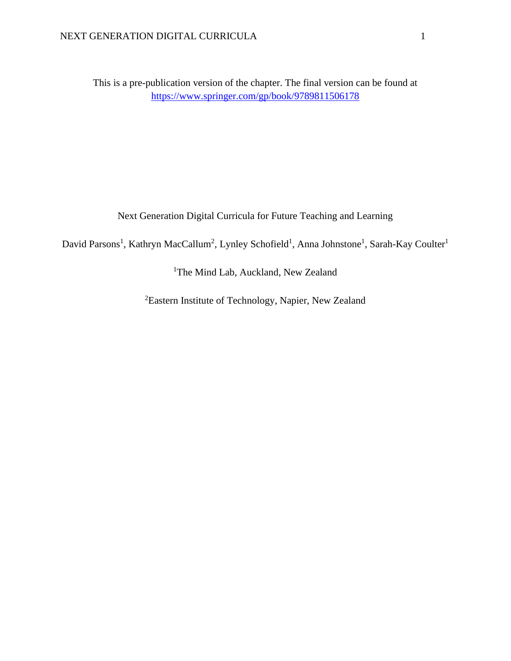This is a pre-publication version of the chapter. The final version can be found at <https://www.springer.com/gp/book/9789811506178>

Next Generation Digital Curricula for Future Teaching and Learning

David Parsons<sup>1</sup>, Kathryn MacCallum<sup>2</sup>, Lynley Schofield<sup>1</sup>, Anna Johnstone<sup>1</sup>, Sarah-Kay Coulter<sup>1</sup>

<sup>1</sup>The Mind Lab, Auckland, New Zealand

<sup>2</sup>Eastern Institute of Technology, Napier, New Zealand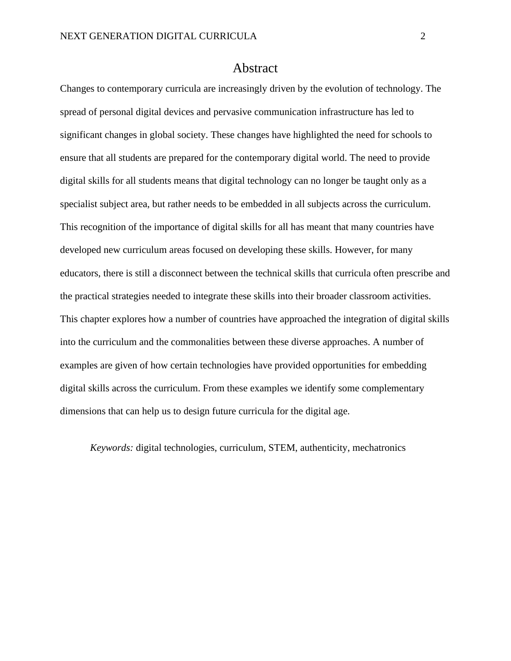#### Abstract

Changes to contemporary curricula are increasingly driven by the evolution of technology. The spread of personal digital devices and pervasive communication infrastructure has led to significant changes in global society. These changes have highlighted the need for schools to ensure that all students are prepared for the contemporary digital world. The need to provide digital skills for all students means that digital technology can no longer be taught only as a specialist subject area, but rather needs to be embedded in all subjects across the curriculum. This recognition of the importance of digital skills for all has meant that many countries have developed new curriculum areas focused on developing these skills. However, for many educators, there is still a disconnect between the technical skills that curricula often prescribe and the practical strategies needed to integrate these skills into their broader classroom activities. This chapter explores how a number of countries have approached the integration of digital skills into the curriculum and the commonalities between these diverse approaches. A number of examples are given of how certain technologies have provided opportunities for embedding digital skills across the curriculum. From these examples we identify some complementary dimensions that can help us to design future curricula for the digital age.

*Keywords:* digital technologies, curriculum, STEM, authenticity, mechatronics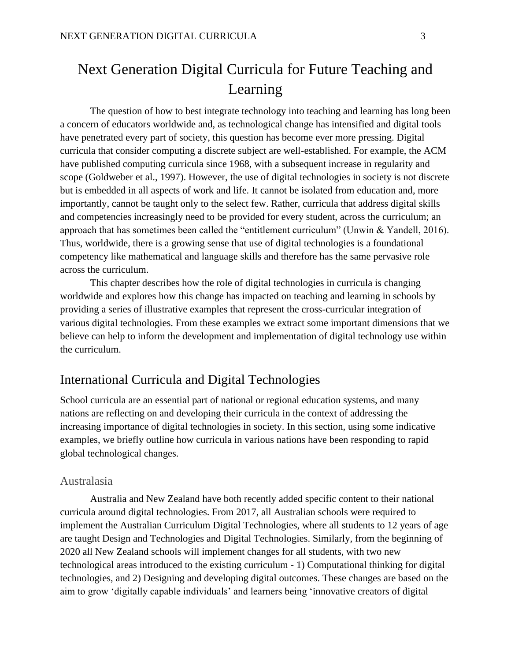# Next Generation Digital Curricula for Future Teaching and Learning

The question of how to best integrate technology into teaching and learning has long been a concern of educators worldwide and, as technological change has intensified and digital tools have penetrated every part of society, this question has become ever more pressing. Digital curricula that consider computing a discrete subject are well-established. For example, the ACM have published computing curricula since 1968, with a subsequent increase in regularity and scope (Goldweber et al., 1997). However, the use of digital technologies in society is not discrete but is embedded in all aspects of work and life. It cannot be isolated from education and, more importantly, cannot be taught only to the select few. Rather, curricula that address digital skills and competencies increasingly need to be provided for every student, across the curriculum; an approach that has sometimes been called the "entitlement curriculum" (Unwin & Yandell, 2016). Thus, worldwide, there is a growing sense that use of digital technologies is a foundational competency like mathematical and language skills and therefore has the same pervasive role across the curriculum.

This chapter describes how the role of digital technologies in curricula is changing worldwide and explores how this change has impacted on teaching and learning in schools by providing a series of illustrative examples that represent the cross-curricular integration of various digital technologies. From these examples we extract some important dimensions that we believe can help to inform the development and implementation of digital technology use within the curriculum.

## International Curricula and Digital Technologies

School curricula are an essential part of national or regional education systems, and many nations are reflecting on and developing their curricula in the context of addressing the increasing importance of digital technologies in society. In this section, using some indicative examples, we briefly outline how curricula in various nations have been responding to rapid global technological changes.

#### Australasia

Australia and New Zealand have both recently added specific content to their national curricula around digital technologies. From 2017, all Australian schools were required to implement the Australian Curriculum Digital Technologies, where all students to 12 years of age are taught Design and Technologies and Digital Technologies. Similarly, from the beginning of 2020 all New Zealand schools will implement changes for all students, with two new technological areas introduced to the existing curriculum - 1) Computational thinking for digital technologies, and 2) Designing and developing digital outcomes. These changes are based on the aim to grow 'digitally capable individuals' and learners being 'innovative creators of digital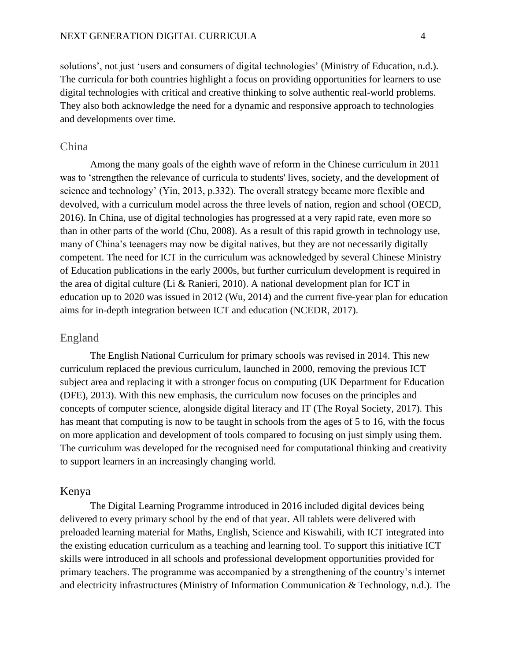solutions', not just 'users and consumers of digital technologies' (Ministry of Education, n.d.). The curricula for both countries highlight a focus on providing opportunities for learners to use digital technologies with critical and creative thinking to solve authentic real-world problems. They also both acknowledge the need for a dynamic and responsive approach to technologies and developments over time.

#### China

Among the many goals of the eighth wave of reform in the Chinese curriculum in 2011 was to 'strengthen the relevance of curricula to students' lives, society, and the development of science and technology' (Yin, 2013, p.332). The overall strategy became more flexible and devolved, with a curriculum model across the three levels of nation, region and school (OECD, 2016). In China, use of digital technologies has progressed at a very rapid rate, even more so than in other parts of the world (Chu, 2008). As a result of this rapid growth in technology use, many of China's teenagers may now be digital natives, but they are not necessarily digitally competent. The need for ICT in the curriculum was acknowledged by several Chinese Ministry of Education publications in the early 2000s, but further curriculum development is required in the area of digital culture (Li & Ranieri, 2010). A national development plan for ICT in education up to 2020 was issued in 2012 (Wu, 2014) and the current five-year plan for education aims for in-depth integration between ICT and education (NCEDR, 2017).

#### England

The English National Curriculum for primary schools was revised in 2014. This new curriculum replaced the previous curriculum, launched in 2000, removing the previous ICT subject area and replacing it with a stronger focus on computing (UK Department for Education (DFE), 2013). With this new emphasis, the curriculum now focuses on the principles and concepts of computer science, alongside digital literacy and IT (The Royal Society, 2017). This has meant that computing is now to be taught in schools from the ages of 5 to 16, with the focus on more application and development of tools compared to focusing on just simply using them. The curriculum was developed for the recognised need for computational thinking and creativity to support learners in an increasingly changing world.

#### Kenya

The Digital Learning Programme introduced in 2016 included digital devices being delivered to every primary school by the end of that year. All tablets were delivered with preloaded learning material for Maths, English, Science and Kiswahili, with ICT integrated into the existing education curriculum as a teaching and learning tool. To support this initiative ICT skills were introduced in all schools and professional development opportunities provided for primary teachers. The programme was accompanied by a strengthening of the country's internet and electricity infrastructures (Ministry of Information Communication & Technology, n.d.). The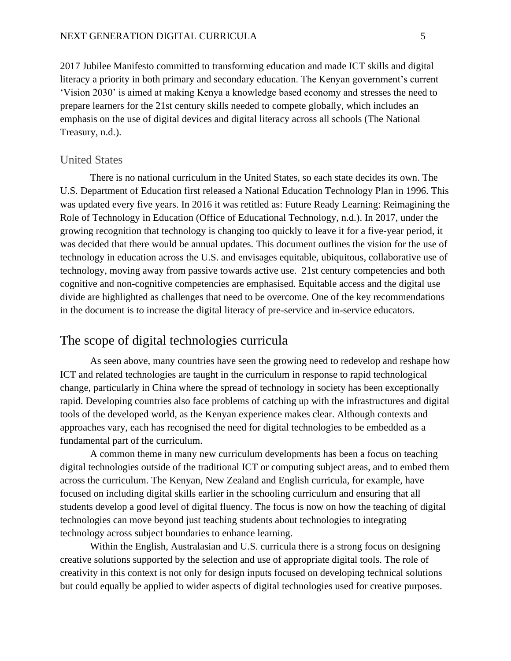2017 Jubilee Manifesto committed to transforming education and made ICT skills and digital literacy a priority in both primary and secondary education. The Kenyan government's current 'Vision 2030' is aimed at making Kenya a knowledge based economy and stresses the need to prepare learners for the 21st century skills needed to compete globally, which includes an emphasis on the use of digital devices and digital literacy across all schools (The National Treasury*,* n.d.).

#### United States

There is no national curriculum in the United States, so each state decides its own. The U.S. Department of Education first released a National Education Technology Plan in 1996. This was updated every five years. In 2016 it was retitled as: Future Ready Learning: Reimagining the Role of Technology in Education (Office of Educational Technology, n.d.). In 2017, under the growing recognition that technology is changing too quickly to leave it for a five-year period, it was decided that there would be annual updates. This document outlines the vision for the use of technology in education across the U.S. and envisages equitable, ubiquitous, collaborative use of technology, moving away from passive towards active use. 21st century competencies and both cognitive and non-cognitive competencies are emphasised. Equitable access and the digital use divide are highlighted as challenges that need to be overcome. One of the key recommendations in the document is to increase the digital literacy of pre-service and in-service educators.

## The scope of digital technologies curricula

As seen above, many countries have seen the growing need to redevelop and reshape how ICT and related technologies are taught in the curriculum in response to rapid technological change, particularly in China where the spread of technology in society has been exceptionally rapid. Developing countries also face problems of catching up with the infrastructures and digital tools of the developed world, as the Kenyan experience makes clear. Although contexts and approaches vary, each has recognised the need for digital technologies to be embedded as a fundamental part of the curriculum.

A common theme in many new curriculum developments has been a focus on teaching digital technologies outside of the traditional ICT or computing subject areas, and to embed them across the curriculum. The Kenyan, New Zealand and English curricula, for example, have focused on including digital skills earlier in the schooling curriculum and ensuring that all students develop a good level of digital fluency. The focus is now on how the teaching of digital technologies can move beyond just teaching students about technologies to integrating technology across subject boundaries to enhance learning.

Within the English, Australasian and U.S. curricula there is a strong focus on designing creative solutions supported by the selection and use of appropriate digital tools. The role of creativity in this context is not only for design inputs focused on developing technical solutions but could equally be applied to wider aspects of digital technologies used for creative purposes.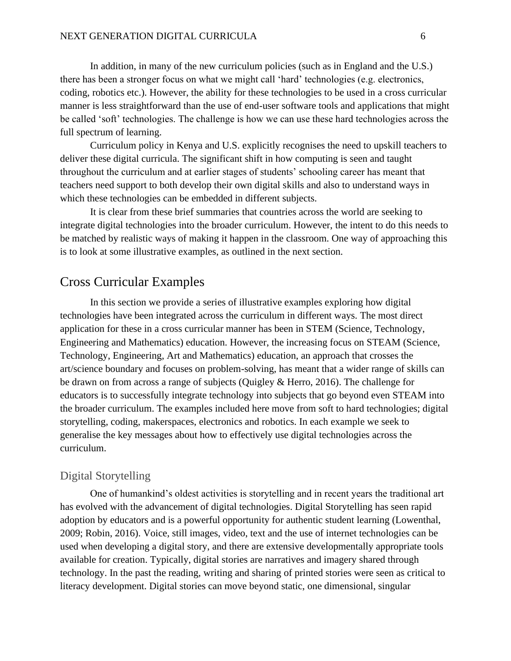In addition, in many of the new curriculum policies (such as in England and the U.S.) there has been a stronger focus on what we might call 'hard' technologies (e.g. electronics, coding, robotics etc.). However, the ability for these technologies to be used in a cross curricular manner is less straightforward than the use of end-user software tools and applications that might be called 'soft' technologies. The challenge is how we can use these hard technologies across the full spectrum of learning.

Curriculum policy in Kenya and U.S. explicitly recognises the need to upskill teachers to deliver these digital curricula. The significant shift in how computing is seen and taught throughout the curriculum and at earlier stages of students' schooling career has meant that teachers need support to both develop their own digital skills and also to understand ways in which these technologies can be embedded in different subjects.

It is clear from these brief summaries that countries across the world are seeking to integrate digital technologies into the broader curriculum. However, the intent to do this needs to be matched by realistic ways of making it happen in the classroom. One way of approaching this is to look at some illustrative examples, as outlined in the next section.

### Cross Curricular Examples

In this section we provide a series of illustrative examples exploring how digital technologies have been integrated across the curriculum in different ways. The most direct application for these in a cross curricular manner has been in STEM (Science, Technology, Engineering and Mathematics) education. However, the increasing focus on STEAM (Science, Technology, Engineering, Art and Mathematics) education, an approach that crosses the art/science boundary and focuses on problem-solving, has meant that a wider range of skills can be drawn on from across a range of subjects (Quigley & Herro, 2016). The challenge for educators is to successfully integrate technology into subjects that go beyond even STEAM into the broader curriculum. The examples included here move from soft to hard technologies; digital storytelling, coding, makerspaces, electronics and robotics. In each example we seek to generalise the key messages about how to effectively use digital technologies across the curriculum.

#### Digital Storytelling

One of humankind's oldest activities is storytelling and in recent years the traditional art has evolved with the advancement of digital technologies. Digital Storytelling has seen rapid adoption by educators and is a powerful opportunity for authentic student learning (Lowenthal, 2009; Robin, 2016). Voice, still images, video, text and the use of internet technologies can be used when developing a digital story, and there are extensive developmentally appropriate tools available for creation. Typically, digital stories are narratives and imagery shared through technology. In the past the reading, writing and sharing of printed stories were seen as critical to literacy development. Digital stories can move beyond static, one dimensional, singular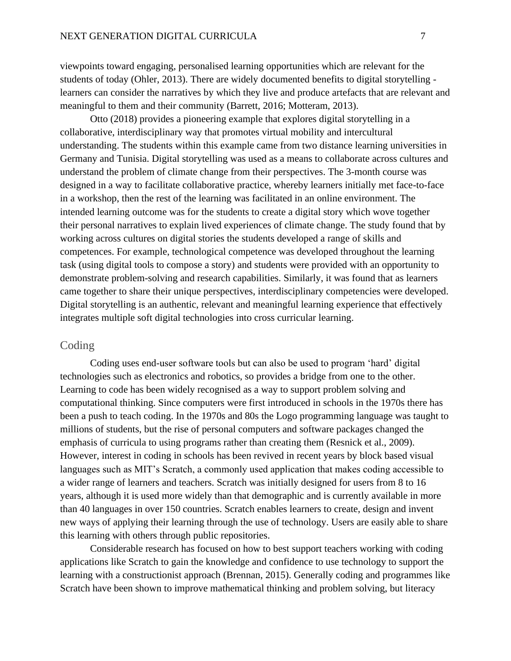viewpoints toward engaging, personalised learning opportunities which are relevant for the students of today (Ohler, 2013). There are widely documented benefits to digital storytelling learners can consider the narratives by which they live and produce artefacts that are relevant and meaningful to them and their community (Barrett, 2016; Motteram, 2013).

Otto (2018) provides a pioneering example that explores digital storytelling in a collaborative, interdisciplinary way that promotes virtual mobility and intercultural understanding. The students within this example came from two distance learning universities in Germany and Tunisia. Digital storytelling was used as a means to collaborate across cultures and understand the problem of climate change from their perspectives. The 3-month course was designed in a way to facilitate collaborative practice, whereby learners initially met face-to-face in a workshop, then the rest of the learning was facilitated in an online environment. The intended learning outcome was for the students to create a digital story which wove together their personal narratives to explain lived experiences of climate change. The study found that by working across cultures on digital stories the students developed a range of skills and competences. For example, technological competence was developed throughout the learning task (using digital tools to compose a story) and students were provided with an opportunity to demonstrate problem-solving and research capabilities. Similarly, it was found that as learners came together to share their unique perspectives, interdisciplinary competencies were developed. Digital storytelling is an authentic, relevant and meaningful learning experience that effectively integrates multiple soft digital technologies into cross curricular learning.

#### Coding

Coding uses end-user software tools but can also be used to program 'hard' digital technologies such as electronics and robotics, so provides a bridge from one to the other. Learning to code has been widely recognised as a way to support problem solving and computational thinking. Since computers were first introduced in schools in the 1970s there has been a push to teach coding. In the 1970s and 80s the Logo programming language was taught to millions of students, but the rise of personal computers and software packages changed the emphasis of curricula to using programs rather than creating them (Resnick et al., 2009). However, interest in coding in schools has been revived in recent years by block based visual languages such as MIT's Scratch, a commonly used application that makes coding accessible to a wider range of learners and teachers. Scratch was initially designed for users from 8 to 16 years, although it is used more widely than that demographic and is currently available in more than 40 languages in over 150 countries. Scratch enables learners to create, design and invent new ways of applying their learning through the use of technology. Users are easily able to share this learning with others through public repositories.

Considerable research has focused on how to best support teachers working with coding applications like Scratch to gain the knowledge and confidence to use technology to support the learning with a constructionist approach (Brennan, 2015). Generally coding and programmes like Scratch have been shown to improve mathematical thinking and problem solving, but literacy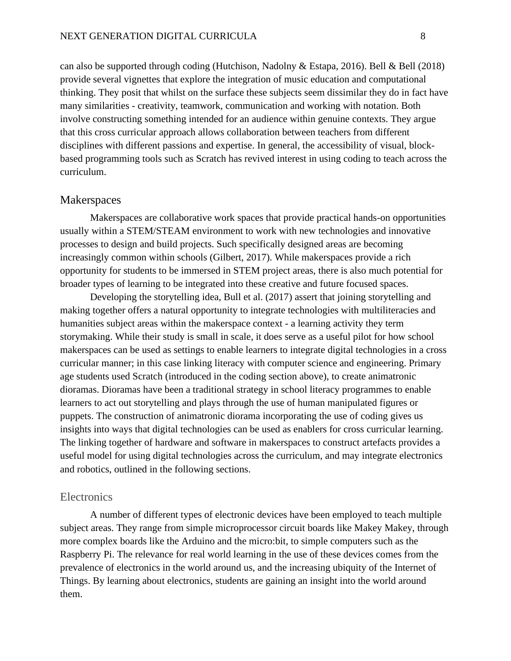can also be supported through coding (Hutchison, Nadolny & Estapa, 2016). Bell & Bell (2018) provide several vignettes that explore the integration of music education and computational thinking. They posit that whilst on the surface these subjects seem dissimilar they do in fact have many similarities - creativity, teamwork, communication and working with notation. Both involve constructing something intended for an audience within genuine contexts. They argue that this cross curricular approach allows collaboration between teachers from different disciplines with different passions and expertise. In general, the accessibility of visual, blockbased programming tools such as Scratch has revived interest in using coding to teach across the curriculum.

#### **Makerspaces**

Makerspaces are collaborative work spaces that provide practical hands-on opportunities usually within a STEM/STEAM environment to work with new technologies and innovative processes to design and build projects. Such specifically designed areas are becoming increasingly common within schools (Gilbert, 2017). While makerspaces provide a rich opportunity for students to be immersed in STEM project areas, there is also much potential for broader types of learning to be integrated into these creative and future focused spaces.

Developing the storytelling idea, Bull et al. (2017) assert that joining storytelling and making together offers a natural opportunity to integrate technologies with multiliteracies and humanities subject areas within the makerspace context - a learning activity they term storymaking. While their study is small in scale, it does serve as a useful pilot for how school makerspaces can be used as settings to enable learners to integrate digital technologies in a cross curricular manner; in this case linking literacy with computer science and engineering. Primary age students used Scratch (introduced in the coding section above), to create animatronic dioramas. Dioramas have been a traditional strategy in school literacy programmes to enable learners to act out storytelling and plays through the use of human manipulated figures or puppets. The construction of animatronic diorama incorporating the use of coding gives us insights into ways that digital technologies can be used as enablers for cross curricular learning. The linking together of hardware and software in makerspaces to construct artefacts provides a useful model for using digital technologies across the curriculum, and may integrate electronics and robotics, outlined in the following sections.

#### **Electronics**

A number of different types of electronic devices have been employed to teach multiple subject areas. They range from simple microprocessor circuit boards like Makey Makey, through more complex boards like the Arduino and the micro:bit, to simple computers such as the Raspberry Pi. The relevance for real world learning in the use of these devices comes from the prevalence of electronics in the world around us, and the increasing ubiquity of the Internet of Things. By learning about electronics, students are gaining an insight into the world around them.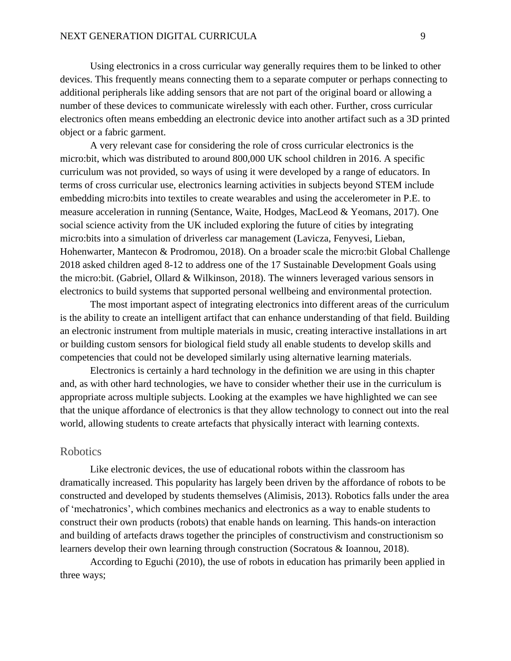Using electronics in a cross curricular way generally requires them to be linked to other devices. This frequently means connecting them to a separate computer or perhaps connecting to additional peripherals like adding sensors that are not part of the original board or allowing a number of these devices to communicate wirelessly with each other. Further, cross curricular electronics often means embedding an electronic device into another artifact such as a 3D printed object or a fabric garment.

A very relevant case for considering the role of cross curricular electronics is the micro:bit, which was distributed to around 800,000 UK school children in 2016. A specific curriculum was not provided, so ways of using it were developed by a range of educators. In terms of cross curricular use, electronics learning activities in subjects beyond STEM include embedding micro:bits into textiles to create wearables and using the accelerometer in P.E. to measure acceleration in running (Sentance, Waite, Hodges, MacLeod & Yeomans, 2017). One social science activity from the UK included exploring the future of cities by integrating micro:bits into a simulation of driverless car management (Lavicza, Fenyvesi, Lieban, Hohenwarter, Mantecon & Prodromou, 2018). On a broader scale the micro:bit Global Challenge 2018 asked children aged 8-12 to address one of the 17 Sustainable Development Goals using the micro:bit. (Gabriel, Ollard & Wilkinson, 2018). The winners leveraged various sensors in electronics to build systems that supported personal wellbeing and environmental protection.

The most important aspect of integrating electronics into different areas of the curriculum is the ability to create an intelligent artifact that can enhance understanding of that field. Building an electronic instrument from multiple materials in music, creating interactive installations in art or building custom sensors for biological field study all enable students to develop skills and competencies that could not be developed similarly using alternative learning materials.

Electronics is certainly a hard technology in the definition we are using in this chapter and, as with other hard technologies, we have to consider whether their use in the curriculum is appropriate across multiple subjects. Looking at the examples we have highlighted we can see that the unique affordance of electronics is that they allow technology to connect out into the real world, allowing students to create artefacts that physically interact with learning contexts.

#### **Robotics**

Like electronic devices, the use of educational robots within the classroom has dramatically increased. This popularity has largely been driven by the affordance of robots to be constructed and developed by students themselves (Alimisis, 2013). Robotics falls under the area of 'mechatronics', which combines mechanics and electronics as a way to enable students to construct their own products (robots) that enable hands on learning. This hands-on interaction and building of artefacts draws together the principles of constructivism and constructionism so learners develop their own learning through construction (Socratous & Ioannou, 2018).

According to Eguchi (2010), the use of robots in education has primarily been applied in three ways;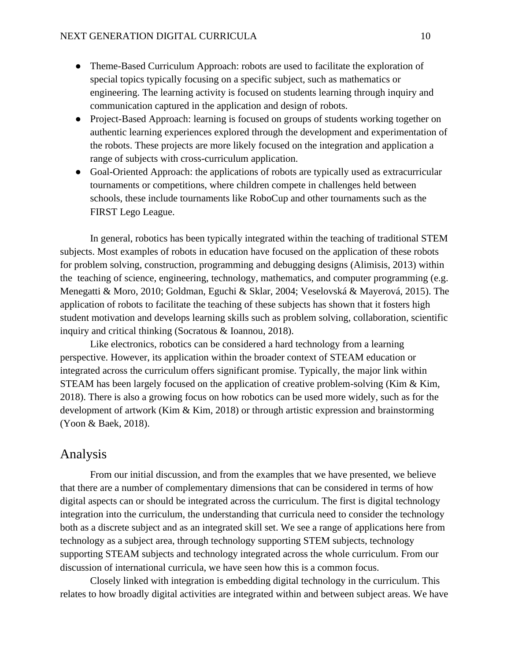- Theme-Based Curriculum Approach: robots are used to facilitate the exploration of special topics typically focusing on a specific subject, such as mathematics or engineering. The learning activity is focused on students learning through inquiry and communication captured in the application and design of robots.
- Project-Based Approach: learning is focused on groups of students working together on authentic learning experiences explored through the development and experimentation of the robots. These projects are more likely focused on the integration and application a range of subjects with cross-curriculum application.
- Goal-Oriented Approach: the applications of robots are typically used as extracurricular tournaments or competitions, where children compete in challenges held between schools, these include tournaments like RoboCup and other tournaments such as the FIRST Lego League.

In general, robotics has been typically integrated within the teaching of traditional STEM subjects. Most examples of robots in education have focused on the application of these robots for problem solving, construction, programming and debugging designs (Alimisis, 2013) within the teaching of science, engineering, technology, mathematics, and computer programming (e.g. Menegatti & Moro, 2010; Goldman, Eguchi & Sklar, 2004; Veselovská & Mayerová, 2015). The application of robots to facilitate the teaching of these subjects has shown that it fosters high student motivation and develops learning skills such as problem solving, collaboration, scientific inquiry and critical thinking (Socratous & Ioannou, 2018).

Like electronics, robotics can be considered a hard technology from a learning perspective. However, its application within the broader context of STEAM education or integrated across the curriculum offers significant promise. Typically, the major link within STEAM has been largely focused on the application of creative problem-solving (Kim & Kim, 2018). There is also a growing focus on how robotics can be used more widely, such as for the development of artwork (Kim & Kim, 2018) or through artistic expression and brainstorming (Yoon & Baek, 2018).

## Analysis

From our initial discussion, and from the examples that we have presented, we believe that there are a number of complementary dimensions that can be considered in terms of how digital aspects can or should be integrated across the curriculum. The first is digital technology integration into the curriculum, the understanding that curricula need to consider the technology both as a discrete subject and as an integrated skill set. We see a range of applications here from technology as a subject area, through technology supporting STEM subjects, technology supporting STEAM subjects and technology integrated across the whole curriculum. From our discussion of international curricula, we have seen how this is a common focus.

Closely linked with integration is embedding digital technology in the curriculum. This relates to how broadly digital activities are integrated within and between subject areas. We have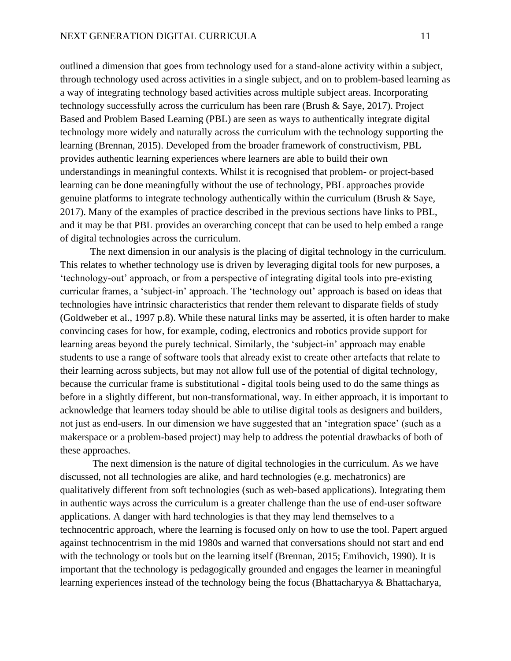outlined a dimension that goes from technology used for a stand-alone activity within a subject, through technology used across activities in a single subject, and on to problem-based learning as a way of integrating technology based activities across multiple subject areas. Incorporating technology successfully across the curriculum has been rare (Brush & Saye, 2017). Project Based and Problem Based Learning (PBL) are seen as ways to authentically integrate digital technology more widely and naturally across the curriculum with the technology supporting the learning (Brennan, 2015). Developed from the broader framework of constructivism, PBL provides authentic learning experiences where learners are able to build their own understandings in meaningful contexts. Whilst it is recognised that problem- or project-based learning can be done meaningfully without the use of technology, PBL approaches provide genuine platforms to integrate technology authentically within the curriculum (Brush & Saye, 2017). Many of the examples of practice described in the previous sections have links to PBL, and it may be that PBL provides an overarching concept that can be used to help embed a range of digital technologies across the curriculum.

The next dimension in our analysis is the placing of digital technology in the curriculum. This relates to whether technology use is driven by leveraging digital tools for new purposes, a 'technology-out' approach, or from a perspective of integrating digital tools into pre-existing curricular frames, a 'subject-in' approach. The 'technology out' approach is based on ideas that technologies have intrinsic characteristics that render them relevant to disparate fields of study (Goldweber et al., 1997 p.8). While these natural links may be asserted, it is often harder to make convincing cases for how, for example, coding, electronics and robotics provide support for learning areas beyond the purely technical. Similarly, the 'subject-in' approach may enable students to use a range of software tools that already exist to create other artefacts that relate to their learning across subjects, but may not allow full use of the potential of digital technology, because the curricular frame is substitutional - digital tools being used to do the same things as before in a slightly different, but non-transformational, way. In either approach, it is important to acknowledge that learners today should be able to utilise digital tools as designers and builders, not just as end-users. In our dimension we have suggested that an 'integration space' (such as a makerspace or a problem-based project) may help to address the potential drawbacks of both of these approaches.

The next dimension is the nature of digital technologies in the curriculum. As we have discussed, not all technologies are alike, and hard technologies (e.g. mechatronics) are qualitatively different from soft technologies (such as web-based applications). Integrating them in authentic ways across the curriculum is a greater challenge than the use of end-user software applications. A danger with hard technologies is that they may lend themselves to a technocentric approach, where the learning is focused only on how to use the tool. Papert argued against technocentrism in the mid 1980s and warned that conversations should not start and end with the technology or tools but on the learning itself (Brennan, 2015; Emihovich, 1990). It is important that the technology is pedagogically grounded and engages the learner in meaningful learning experiences instead of the technology being the focus (Bhattacharyya & Bhattacharya,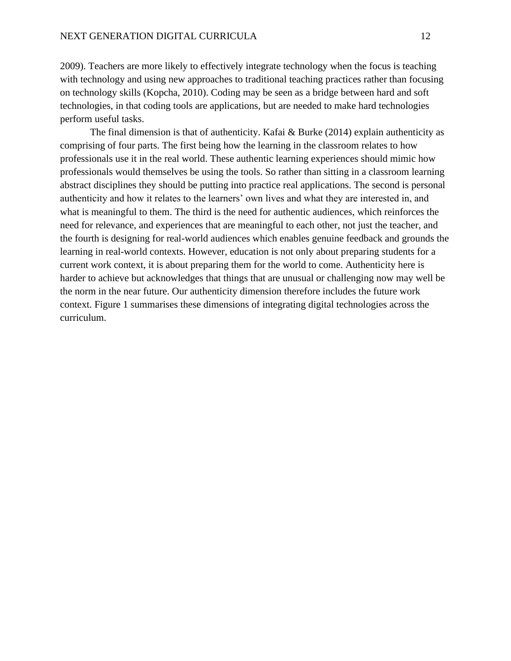2009). Teachers are more likely to effectively integrate technology when the focus is teaching with technology and using new approaches to traditional teaching practices rather than focusing on technology skills (Kopcha, 2010). Coding may be seen as a bridge between hard and soft technologies, in that coding tools are applications, but are needed to make hard technologies perform useful tasks.

The final dimension is that of authenticity. Kafai  $\&$  Burke (2014) explain authenticity as comprising of four parts. The first being how the learning in the classroom relates to how professionals use it in the real world. These authentic learning experiences should mimic how professionals would themselves be using the tools. So rather than sitting in a classroom learning abstract disciplines they should be putting into practice real applications. The second is personal authenticity and how it relates to the learners' own lives and what they are interested in, and what is meaningful to them. The third is the need for authentic audiences, which reinforces the need for relevance, and experiences that are meaningful to each other, not just the teacher, and the fourth is designing for real-world audiences which enables genuine feedback and grounds the learning in real-world contexts. However, education is not only about preparing students for a current work context, it is about preparing them for the world to come. Authenticity here is harder to achieve but acknowledges that things that are unusual or challenging now may well be the norm in the near future. Our authenticity dimension therefore includes the future work context. Figure 1 summarises these dimensions of integrating digital technologies across the curriculum.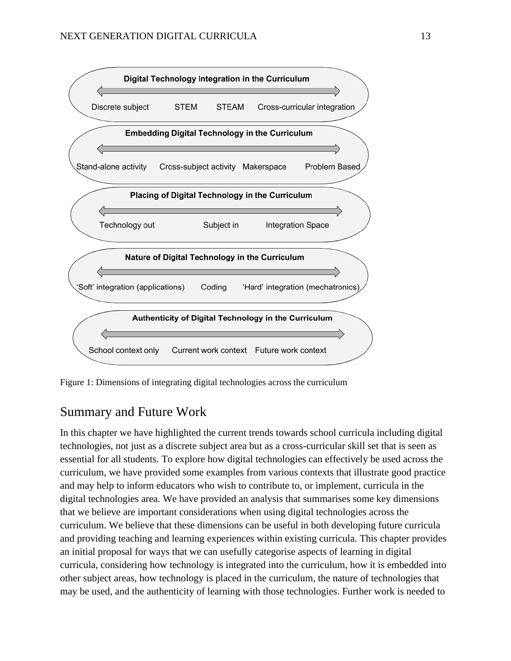

Figure 1: Dimensions of integrating digital technologies across the curriculum

## Summary and Future Work

In this chapter we have highlighted the current trends towards school curricula including digital technologies, not just as a discrete subject area but as a cross-curricular skill set that is seen as essential for all students. To explore how digital technologies can effectively be used across the curriculum, we have provided some examples from various contexts that illustrate good practice and may help to inform educators who wish to contribute to, or implement, curricula in the digital technologies area. We have provided an analysis that summarises some key dimensions that we believe are important considerations when using digital technologies across the curriculum. We believe that these dimensions can be useful in both developing future curricula and providing teaching and learning experiences within existing curricula. This chapter provides an initial proposal for ways that we can usefully categorise aspects of learning in digital curricula, considering how technology is integrated into the curriculum, how it is embedded into other subject areas, how technology is placed in the curriculum, the nature of technologies that may be used, and the authenticity of learning with those technologies. Further work is needed to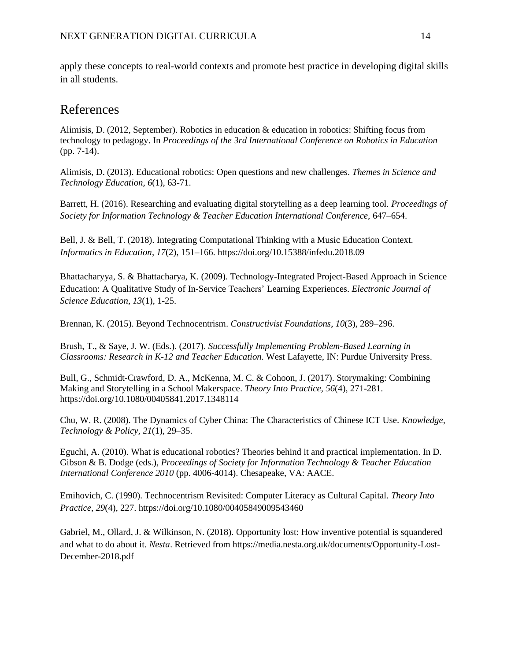apply these concepts to real-world contexts and promote best practice in developing digital skills in all students.

## References

Alimisis, D. (2012, September). Robotics in education & education in robotics: Shifting focus from technology to pedagogy. In *Proceedings of the 3rd International Conference on Robotics in Education* (pp. 7-14).

Alimisis, D. (2013). Educational robotics: Open questions and new challenges. *Themes in Science and Technology Education, 6*(1), 63-71.

Barrett, H. (2016). Researching and evaluating digital storytelling as a deep learning tool. *Proceedings of Society for Information Technology & Teacher Education International Conference,* 647–654.

Bell, J. & Bell, T. (2018). Integrating Computational Thinking with a Music Education Context. *Informatics in Education*, *17*(2), 151–166. https://doi.org/10.15388/infedu.2018.09

Bhattacharyya, S. & Bhattacharya, K. (2009). Technology-Integrated Project-Based Approach in Science Education: A Qualitative Study of In-Service Teachers' Learning Experiences. *Electronic Journal of Science Education*, *13*(1), 1-25.

Brennan, K. (2015). Beyond Technocentrism. *Constructivist Foundations*, *10*(3), 289–296.

Brush, T., & Saye, J. W. (Eds.). (2017). *Successfully Implementing Problem-Based Learning in Classrooms: Research in K-12 and Teacher Education*. West Lafayette, IN: Purdue University Press.

Bull, G., Schmidt-Crawford, D. A., McKenna, M. C. & Cohoon, J. (2017). Storymaking: Combining Making and Storytelling in a School Makerspace. *Theory Into Practice, 56*(4), 271-281. https://doi.org[/10.1080/00405841.2017.1348114](https://doi-org.ezproxy.canterbury.ac.nz/10.1080/00405841.2017.1348114)

Chu, W. R. (2008). The Dynamics of Cyber China: The Characteristics of Chinese ICT Use. *Knowledge, Technology & Policy, 21*(1), 29–35.

Eguchi, A. (2010). What is educational robotics? Theories behind it and practical implementation. In D. Gibson & B. Dodge (eds.), *Proceedings of Society for Information Technology & Teacher Education International Conference 2010* (pp. 4006-4014). Chesapeake, VA: AACE.

Emihovich, C. (1990). Technocentrism Revisited: Computer Literacy as Cultural Capital. *Theory Into Practice*, *29*(4), 227. https://doi.org/10.1080/00405849009543460

Gabriel, M., Ollard, J. & Wilkinson, N. (2018). Opportunity lost: How inventive potential is squandered and what to do about it. *Nesta*. Retrieved from https://media.nesta.org.uk/documents/Opportunity-Lost-December-2018.pdf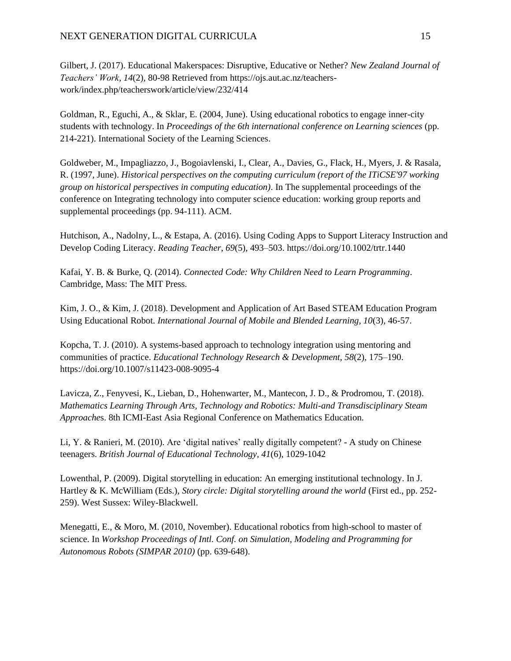#### NEXT GENERATION DIGITAL CURRICULA 15

Gilbert, J. (2017). Educational Makerspaces: Disruptive, Educative or Nether? *New Zealand Journal of Teachers' Work*, *14*(2), 80-98 Retrieved from https://ojs.aut.ac.nz/teacherswork/index.php/teacherswork/article/view/232/414

Goldman, R., Eguchi, A., & Sklar, E. (2004, June). Using educational robotics to engage inner-city students with technology. In *Proceedings of the 6th international conference on Learning sciences* (pp. 214-221). International Society of the Learning Sciences.

Goldweber, M., Impagliazzo, J., Bogoiavlenski, I., Clear, A., Davies, G., Flack, H., Myers, J. & Rasala, R. (1997, June). *Historical perspectives on the computing curriculum (report of the ITiCSE'97 working group on historical perspectives in computing education)*. In The supplemental proceedings of the conference on Integrating technology into computer science education: working group reports and supplemental proceedings (pp. 94-111). ACM.

Hutchison, A., Nadolny, L., & Estapa, A. (2016). Using Coding Apps to Support Literacy Instruction and Develop Coding Literacy. *Reading Teacher*, *69*(5), 493–503. https://doi.org/10.1002/trtr.1440

Kafai, Y. B. & Burke, Q. (2014). *Connected Code: Why Children Need to Learn Programming*. Cambridge, Mass: The MIT Press.

Kim, J. O., & Kim, J. (2018). Development and Application of Art Based STEAM Education Program Using Educational Robot. *International Journal of Mobile and Blended Learning, 10*(3), 46-57.

Kopcha, T. J. (2010). A systems-based approach to technology integration using mentoring and communities of practice. *Educational Technology Research & Development*, *58*(2), 175–190. https://doi.org/10.1007/s11423-008-9095-4

Lavicza, Z., Fenyvesi, K., Lieban, D., Hohenwarter, M., Mantecon, J. D., & Prodromou, T. (2018). *Mathematics Learning Through Arts, Technology and Robotics: Multi-and Transdisciplinary Steam Approache*s. 8th ICMI-East Asia Regional Conference on Mathematics Education.

Li, Y. & Ranieri, M. (2010). Are 'digital natives' really digitally competent? - A study on Chinese teenagers. *British Journal of Educational Technology, 41*(6), 1029-1042

Lowenthal, P. (2009). Digital storytelling in education: An emerging institutional technology. In J. Hartley & K. McWilliam (Eds.), *Story circle: Digital storytelling around the world* (First ed., pp. 252- 259). West Sussex: Wiley-Blackwell.

Menegatti, E., & Moro, M. (2010, November). Educational robotics from high-school to master of science. In *Workshop Proceedings of Intl. Conf. on Simulation, Modeling and Programming for Autonomous Robots (SIMPAR 2010)* (pp. 639-648).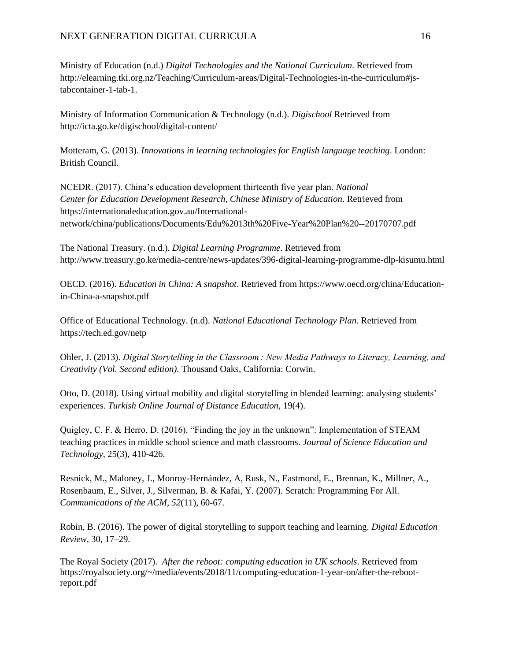Ministry of Education (n.d.) *Digital Technologies and the National Curriculum*. Retrieved from http://elearning.tki.org.nz/Teaching/Curriculum-areas/Digital-Technologies-in-the-curriculum#jstabcontainer-1-tab-1.

Ministry of Information Communication & Technology (n.d.). *Digischool* Retrieved from http://icta.go.ke/digischool/digital-content/

Motteram, G. (2013). *Innovations in learning technologies for English language teaching*. London: British Council.

NCEDR. (2017). China's education development thirteenth five year plan. *National Center for Education Development Research, Chinese Ministry of Education*. Retrieved from https://internationaleducation.gov.au/Internationalnetwork/china/publications/Documents/Edu%2013th%20Five-Year%20Plan%20--20170707.pdf

The National Treasury. (n.d.). *Digital Learning Programme*. Retrieved from http://www.treasury.go.ke/media-centre/news-updates/396-digital-learning-programme-dlp-kisumu.html

OECD. (2016). *Education in China: A snapshot*. Retrieved from https://www.oecd.org/china/Educationin-China-a-snapshot.pdf

Office of Educational Technology. (n.d). *National Educational Technology Plan.* Retrieved from https://tech.ed.gov/netp

Ohler, J. (2013). *Digital Storytelling in the Classroom : New Media Pathways to Literacy, Learning, and Creativity (Vol. Second edition).* Thousand Oaks, California: Corwin.

Otto, D. (2018). Using virtual mobility and digital storytelling in blended learning: analysing students' experiences. *Turkish Online Journal of Distance Education,* 19(4).

Quigley, C. F. & Herro, D. (2016). "Finding the joy in the unknown": Implementation of STEAM teaching practices in middle school science and math classrooms. *Journal of Science Education and Technology*, 25(3), 410-426.

Resnick, M., Maloney, J., Monroy-Hernández, A, Rusk, N., Eastmond, E., Brennan, K., Millner, A., Rosenbaum, E., Silver, J., Silverman, B. & Kafai, Y. (2007). Scratch: Programming For All. *Communications of the ACM, 52*(11), 60-67.

Robin, B. (2016). The power of digital storytelling to support teaching and learning. *Digital Education Review,* 30, 17–29.

The Royal Society (2017). *After the reboot: computing education in UK schools*. Retrieved from https://royalsociety.org/~/media/events/2018/11/computing-education-1-year-on/after-the-rebootreport.pdf